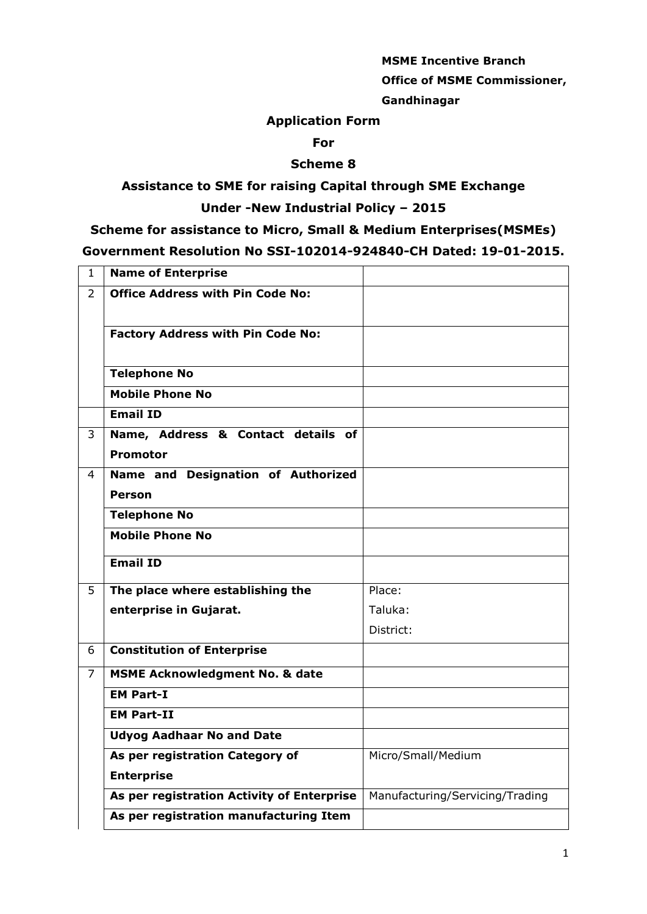# **MSME Incentive Branch Office of MSME Commissioner,**

### **Gandhinagar**

## **Application Form**

#### **For**

#### **Scheme 8**

## **Assistance to SME for raising Capital through SME Exchange**

### **Under -New Industrial Policy – 2015**

**Scheme for assistance to Micro, Small & Medium Enterprises(MSMEs) Government Resolution No SSI-102014-924840-CH Dated: 19-01-2015.**

| $\mathbf{1}$   | <b>Name of Enterprise</b>                  |                                 |
|----------------|--------------------------------------------|---------------------------------|
| $\overline{2}$ | <b>Office Address with Pin Code No:</b>    |                                 |
|                |                                            |                                 |
|                | <b>Factory Address with Pin Code No:</b>   |                                 |
|                |                                            |                                 |
|                | <b>Telephone No</b>                        |                                 |
|                | <b>Mobile Phone No</b>                     |                                 |
|                | <b>Email ID</b>                            |                                 |
| 3              | Name, Address & Contact details of         |                                 |
|                | <b>Promotor</b>                            |                                 |
| 4              | Name and Designation of Authorized         |                                 |
|                | <b>Person</b>                              |                                 |
|                | <b>Telephone No</b>                        |                                 |
|                | <b>Mobile Phone No</b>                     |                                 |
|                | <b>Email ID</b>                            |                                 |
|                |                                            |                                 |
| 5              | The place where establishing the           | Place:                          |
|                | enterprise in Gujarat.                     | Taluka:                         |
|                |                                            | District:                       |
| 6              | <b>Constitution of Enterprise</b>          |                                 |
| 7              | <b>MSME Acknowledgment No. &amp; date</b>  |                                 |
|                | <b>EM Part-I</b>                           |                                 |
|                | <b>EM Part-II</b>                          |                                 |
|                | <b>Udyog Aadhaar No and Date</b>           |                                 |
|                | As per registration Category of            | Micro/Small/Medium              |
|                | <b>Enterprise</b>                          |                                 |
|                | As per registration Activity of Enterprise | Manufacturing/Servicing/Trading |
|                | As per registration manufacturing Item     |                                 |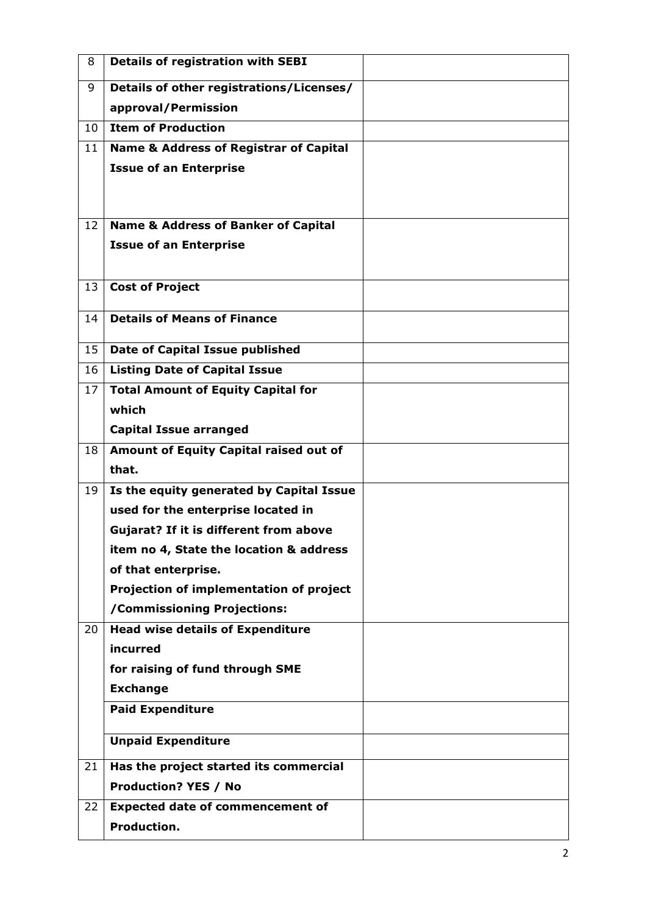| 8  | <b>Details of registration with SEBI</b>          |  |
|----|---------------------------------------------------|--|
| 9  | Details of other registrations/Licenses/          |  |
|    | approval/Permission                               |  |
| 10 | <b>Item of Production</b>                         |  |
| 11 | <b>Name &amp; Address of Registrar of Capital</b> |  |
|    | <b>Issue of an Enterprise</b>                     |  |
|    |                                                   |  |
|    |                                                   |  |
| 12 | <b>Name &amp; Address of Banker of Capital</b>    |  |
|    | <b>Issue of an Enterprise</b>                     |  |
|    |                                                   |  |
| 13 | <b>Cost of Project</b>                            |  |
| 14 | <b>Details of Means of Finance</b>                |  |
|    |                                                   |  |
| 15 | <b>Date of Capital Issue published</b>            |  |
| 16 | <b>Listing Date of Capital Issue</b>              |  |
| 17 | <b>Total Amount of Equity Capital for</b>         |  |
|    | which                                             |  |
|    | <b>Capital Issue arranged</b>                     |  |
| 18 | Amount of Equity Capital raised out of            |  |
|    | that.                                             |  |
| 19 | Is the equity generated by Capital Issue          |  |
|    | used for the enterprise located in                |  |
|    | <b>Gujarat? If it is different from above</b>     |  |
|    | item no 4, State the location & address           |  |
|    | of that enterprise.                               |  |
|    | Projection of implementation of project           |  |
|    | /Commissioning Projections:                       |  |
| 20 | <b>Head wise details of Expenditure</b>           |  |
|    | incurred                                          |  |
|    | for raising of fund through SME                   |  |
|    | <b>Exchange</b>                                   |  |
|    | <b>Paid Expenditure</b>                           |  |
|    | <b>Unpaid Expenditure</b>                         |  |
| 21 | Has the project started its commercial            |  |
|    | <b>Production? YES / No</b>                       |  |
| 22 | <b>Expected date of commencement of</b>           |  |
|    | Production.                                       |  |